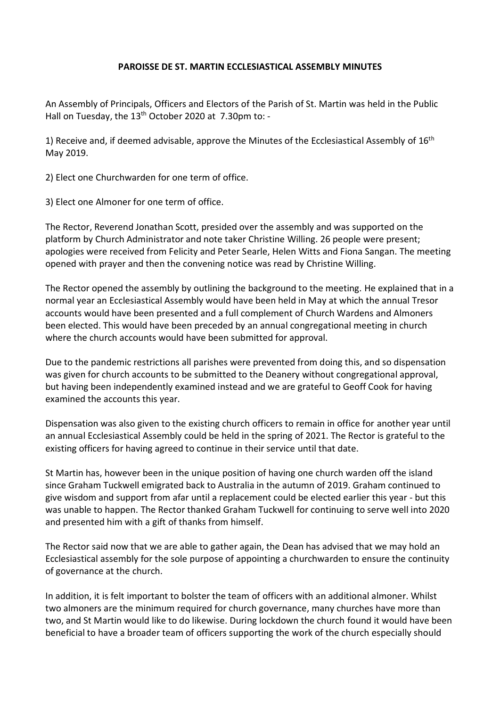## **PAROISSE DE ST. MARTIN ECCLESIASTICAL ASSEMBLY MINUTES**

An Assembly of Principals, Officers and Electors of the Parish of St. Martin was held in the Public Hall on Tuesday, the 13<sup>th</sup> October 2020 at 7.30pm to: -

1) Receive and, if deemed advisable, approve the Minutes of the Ecclesiastical Assembly of 16<sup>th</sup> May 2019.

2) Elect one Churchwarden for one term of office.

3) Elect one Almoner for one term of office.

The Rector, Reverend Jonathan Scott, presided over the assembly and was supported on the platform by Church Administrator and note taker Christine Willing. 26 people were present; apologies were received from Felicity and Peter Searle, Helen Witts and Fiona Sangan. The meeting opened with prayer and then the convening notice was read by Christine Willing.

The Rector opened the assembly by outlining the background to the meeting. He explained that in a normal year an Ecclesiastical Assembly would have been held in May at which the annual Tresor accounts would have been presented and a full complement of Church Wardens and Almoners been elected. This would have been preceded by an annual congregational meeting in church where the church accounts would have been submitted for approval.

Due to the pandemic restrictions all parishes were prevented from doing this, and so dispensation was given for church accounts to be submitted to the Deanery without congregational approval, but having been independently examined instead and we are grateful to Geoff Cook for having examined the accounts this year.

Dispensation was also given to the existing church officers to remain in office for another year until an annual Ecclesiastical Assembly could be held in the spring of 2021. The Rector is grateful to the existing officers for having agreed to continue in their service until that date.

St Martin has, however been in the unique position of having one church warden off the island since Graham Tuckwell emigrated back to Australia in the autumn of 2019. Graham continued to give wisdom and support from afar until a replacement could be elected earlier this year - but this was unable to happen. The Rector thanked Graham Tuckwell for continuing to serve well into 2020 and presented him with a gift of thanks from himself.

The Rector said now that we are able to gather again, the Dean has advised that we may hold an Ecclesiastical assembly for the sole purpose of appointing a churchwarden to ensure the continuity of governance at the church.

In addition, it is felt important to bolster the team of officers with an additional almoner. Whilst two almoners are the minimum required for church governance, many churches have more than two, and St Martin would like to do likewise. During lockdown the church found it would have been beneficial to have a broader team of officers supporting the work of the church especially should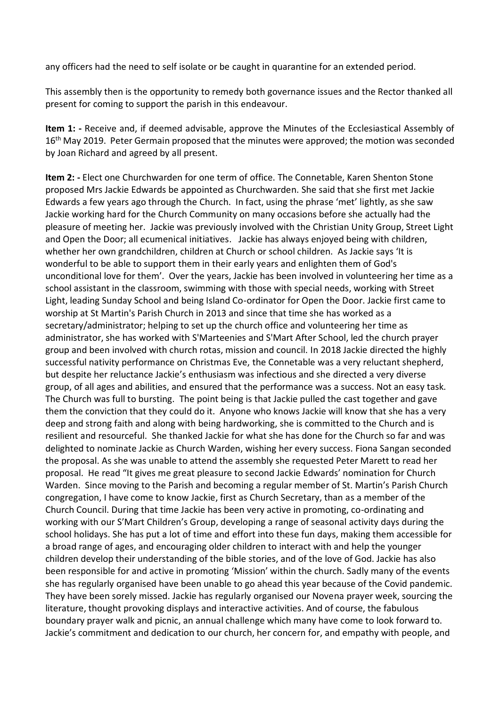any officers had the need to self isolate or be caught in quarantine for an extended period.

This assembly then is the opportunity to remedy both governance issues and the Rector thanked all present for coming to support the parish in this endeavour.

**Item 1: -** Receive and, if deemed advisable, approve the Minutes of the Ecclesiastical Assembly of 16<sup>th</sup> May 2019. Peter Germain proposed that the minutes were approved; the motion was seconded by Joan Richard and agreed by all present.

**Item 2: -** Elect one Churchwarden for one term of office. The Connetable, Karen Shenton Stone proposed Mrs Jackie Edwards be appointed as Churchwarden. She said that she first met Jackie Edwards a few years ago through the Church. In fact, using the phrase 'met' lightly, as she saw Jackie working hard for the Church Community on many occasions before she actually had the pleasure of meeting her. Jackie was previously involved with the Christian Unity Group, Street Light and Open the Door; all ecumenical initiatives. Jackie has always enjoyed being with children, whether her own grandchildren, children at Church or school children. As Jackie says 'It is wonderful to be able to support them in their early years and enlighten them of God's unconditional love for them'. Over the years, Jackie has been involved in volunteering her time as a school assistant in the classroom, swimming with those with special needs, working with Street Light, leading Sunday School and being Island Co-ordinator for Open the Door. Jackie first came to worship at St Martin's Parish Church in 2013 and since that time she has worked as a secretary/administrator; helping to set up the church office and volunteering her time as administrator, she has worked with S'Marteenies and S'Mart After School, led the church prayer group and been involved with church rotas, mission and council. In 2018 Jackie directed the highly successful nativity performance on Christmas Eve, the Connetable was a very reluctant shepherd, but despite her reluctance Jackie's enthusiasm was infectious and she directed a very diverse group, of all ages and abilities, and ensured that the performance was a success. Not an easy task. The Church was full to bursting. The point being is that Jackie pulled the cast together and gave them the conviction that they could do it. Anyone who knows Jackie will know that she has a very deep and strong faith and along with being hardworking, she is committed to the Church and is resilient and resourceful. She thanked Jackie for what she has done for the Church so far and was delighted to nominate Jackie as Church Warden, wishing her every success. Fiona Sangan seconded the proposal. As she was unable to attend the assembly she requested Peter Marett to read her proposal. He read "It gives me great pleasure to second Jackie Edwards' nomination for Church Warden. Since moving to the Parish and becoming a regular member of St. Martin's Parish Church congregation, I have come to know Jackie, first as Church Secretary, than as a member of the Church Council. During that time Jackie has been very active in promoting, co-ordinating and working with our S'Mart Children's Group, developing a range of seasonal activity days during the school holidays. She has put a lot of time and effort into these fun days, making them accessible for a broad range of ages, and encouraging older children to interact with and help the younger children develop their understanding of the bible stories, and of the love of God. Jackie has also been responsible for and active in promoting 'Mission' within the church. Sadly many of the events she has regularly organised have been unable to go ahead this year because of the Covid pandemic. They have been sorely missed. Jackie has regularly organised our Novena prayer week, sourcing the literature, thought provoking displays and interactive activities. And of course, the fabulous boundary prayer walk and picnic, an annual challenge which many have come to look forward to. Jackie's commitment and dedication to our church, her concern for, and empathy with people, and